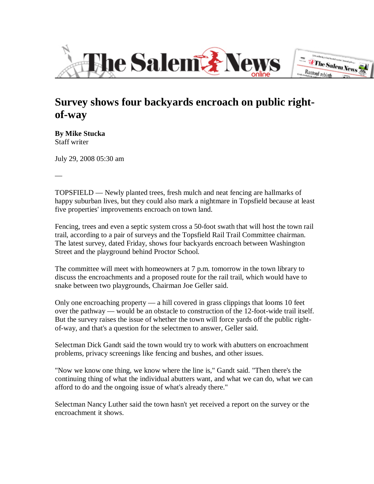



## **Survey shows four backyards encroach on public rightof-way**

**By Mike Stucka** Staff writer

—

July 29, 2008 05:30 am

TOPSFIELD — Newly planted trees, fresh mulch and neat fencing are hallmarks of happy suburban lives, but they could also mark a nightmare in Topsfield because at least five properties' improvements encroach on town land.

Fencing, trees and even a septic system cross a 50-foot swath that will host the town rail trail, according to a pair of surveys and the Topsfield Rail Trail Committee chairman. The latest survey, dated Friday, shows four backyards encroach between Washington Street and the playground behind Proctor School.

The committee will meet with homeowners at 7 p.m. tomorrow in the town library to discuss the encroachments and a proposed route for the rail trail, which would have to snake between two playgrounds, Chairman Joe Geller said.

Only one encroaching property — a hill covered in grass clippings that looms 10 feet over the pathway — would be an obstacle to construction of the 12-foot-wide trail itself. But the survey raises the issue of whether the town will force yards off the public rightof-way, and that's a question for the selectmen to answer, Geller said.

Selectman Dick Gandt said the town would try to work with abutters on encroachment problems, privacy screenings like fencing and bushes, and other issues.

"Now we know one thing, we know where the line is," Gandt said. "Then there's the continuing thing of what the individual abutters want, and what we can do, what we can afford to do and the ongoing issue of what's already there."

Selectman Nancy Luther said the town hasn't yet received a report on the survey or the encroachment it shows.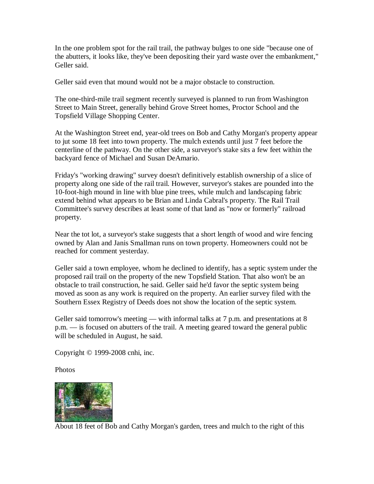In the one problem spot for the rail trail, the pathway bulges to one side "because one of the abutters, it looks like, they've been depositing their yard waste over the embankment," Geller said.

Geller said even that mound would not be a major obstacle to construction.

The one-third-mile trail segment recently surveyed is planned to run from Washington Street to Main Street, generally behind Grove Street homes, Proctor School and the Topsfield Village Shopping Center.

At the Washington Street end, year-old trees on Bob and Cathy Morgan's property appear to jut some 18 feet into town property. The mulch extends until just 7 feet before the centerline of the pathway. On the other side, a surveyor's stake sits a few feet within the backyard fence of Michael and Susan DeAmario.

Friday's "working drawing" survey doesn't definitively establish ownership of a slice of property along one side of the rail trail. However, surveyor's stakes are pounded into the 10-foot-high mound in line with blue pine trees, while mulch and landscaping fabric extend behind what appears to be Brian and Linda Cabral's property. The Rail Trail Committee's survey describes at least some of that land as "now or formerly" railroad property.

Near the tot lot, a surveyor's stake suggests that a short length of wood and wire fencing owned by Alan and Janis Smallman runs on town property. Homeowners could not be reached for comment yesterday.

Geller said a town employee, whom he declined to identify, has a septic system under the proposed rail trail on the property of the new Topsfield Station. That also won't be an obstacle to trail construction, he said. Geller said he'd favor the septic system being moved as soon as any work is required on the property. An earlier survey filed with the Southern Essex Registry of Deeds does not show the location of the septic system.

Geller said tomorrow's meeting — with informal talks at  $7$  p.m. and presentations at  $8$ p.m. — is focused on abutters of the trail. A meeting geared toward the general public will be scheduled in August, he said.

Copyright © 1999-2008 cnhi, inc.

Photos



About 18 feet of Bob and Cathy Morgan's garden, trees and mulch to the right of this